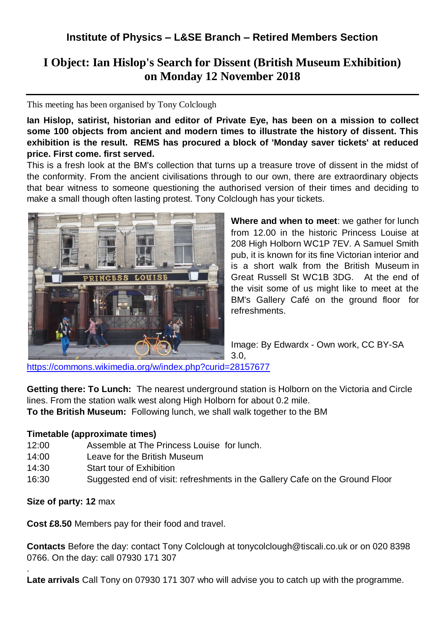# **I Object: Ian Hislop's Search for Dissent (British Museum Exhibition) on Monday 12 November 2018**

#### This meeting has been organised by Tony Colclough

**Ian Hislop, satirist, historian and editor of Private Eye, has been on a mission to collect some 100 objects from ancient and modern times to illustrate the history of dissent. This exhibition is the result. REMS has procured a block of 'Monday saver tickets' at reduced price. First come. first served.**

This is a fresh look at the BM's collection that turns up a treasure trove of dissent in the midst of the conformity. From the ancient civilisations through to our own, there are extraordinary objects that bear witness to someone questioning the authorised version of their times and deciding to make a small though often lasting protest. Tony Colclough has your tickets.



**Where and when to meet**: we gather for lunch from 12.00 in the historic Princess Louise at 208 High Holborn WC1P 7EV. A Samuel Smith pub, it is known for its fine Victorian interior and is a short walk from the British Museum in Great Russell St WC1B 3DG. At the end of the visit some of us might like to meet at the BM's Gallery Café on the ground floor for refreshments.

Image: By Edwardx - Own work, CC BY-SA

<https://commons.wikimedia.org/w/index.php?curid=28157677>

**Getting there: To Lunch:** The nearest underground station is Holborn on the Victoria and Circle lines. From the station walk west along High Holborn for about 0.2 mile. **To the British Museum:** Following lunch, we shall walk together to the BM

3.0,

### **Timetable (approximate times)**

- 12:00 Assemble at The Princess Louise for lunch.
- 14:00 Leave for the British Museum
- 14:30 Start tour of Exhibition
- 16:30 Suggested end of visit: refreshments in the Gallery Cafe on the Ground Floor

### **Size of party: 12** max

.

**Cost £8.50** Members pay for their food and travel.

**Contacts** Before the day: contact Tony Colclough at tonycolclough@tiscali.co.uk or on 020 8398 0766. On the day: call 07930 171 307

**Late arrivals** Call Tony on 07930 171 307 who will advise you to catch up with the programme.